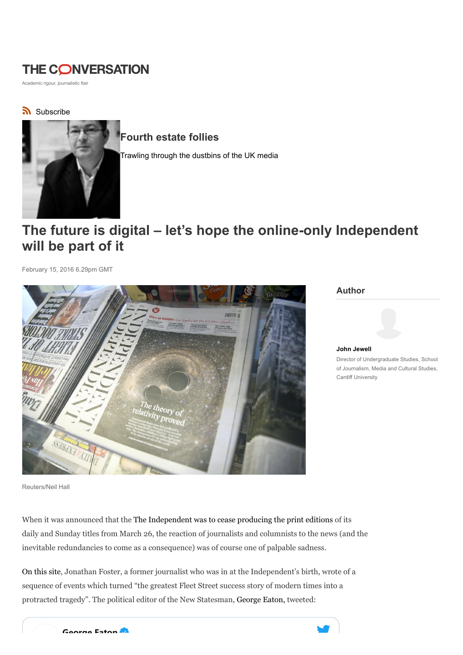## **THE CONVERSATION**

Academic rigour, journalistic flair

### Subscribe



## Fourth estate follies

Trawling through the dustbins of the UK media

# The future is digital – let's hope the online-only Independent will be part of it

February 15, 2016 6.29pm GMT



Author



John Jewell Director of Undergraduate Studies, School of Journalism, Media and Cultural Studies, Cardiff University

Reuters/Neil Hall

When it was announced that the The Independent was to cease producing the print editions of its daily and Sunday titles from March 26, the reaction of journalists and columnists to the news (and the inevitable redundancies to come as a consequence) was of course one of palpable sadness.

On this site, Jonathan Foster, a former journalist who was in at the Independent's birth, wrote of a sequence of events which turned "the greatest Fleet Street success story of modern times into a protracted tragedy". The political editor of the New Statesman, George Eaton, tweeted:

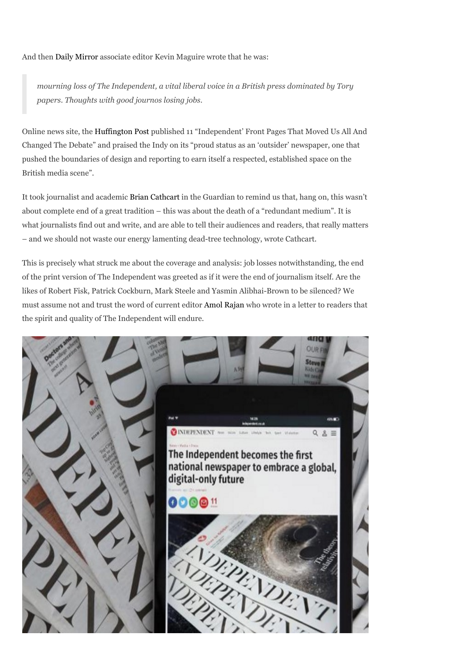And then Daily Mirror associate editor Kevin Maguire wrote that he was:

mourning loss of The Independent, a vital liberal voice in a British press dominated by Tory papers. Thoughts with good journos losing jobs.

Online news site, the Huffington Post published 11 "Independent' Front Pages That Moved Us All And Changed The Debate" and praised the Indy on its "proud status as an 'outsider' newspaper, one that pushed the boundaries of design and reporting to earn itself a respected, established space on the British media scene".

It took journalist and academic Brian Cathcart in the Guardian to remind us that, hang on, this wasn't about complete end of a great tradition – this was about the death of a "redundant medium". It is what journalists find out and write, and are able to tell their audiences and readers, that really matters – and we should not waste our energy lamenting dead-tree technology, wrote Cathcart.

This is precisely what struck me about the coverage and analysis: job losses notwithstanding, the end of the print version of The Independent was greeted as if it were the end of journalism itself. Are the likes of Robert Fisk, Patrick Cockburn, Mark Steele and Yasmin Alibhai-Brown to be silenced? We must assume not and trust the word of current editor Amol Rajan who wrote in a letter to readers that the spirit and quality of The Independent will endure.

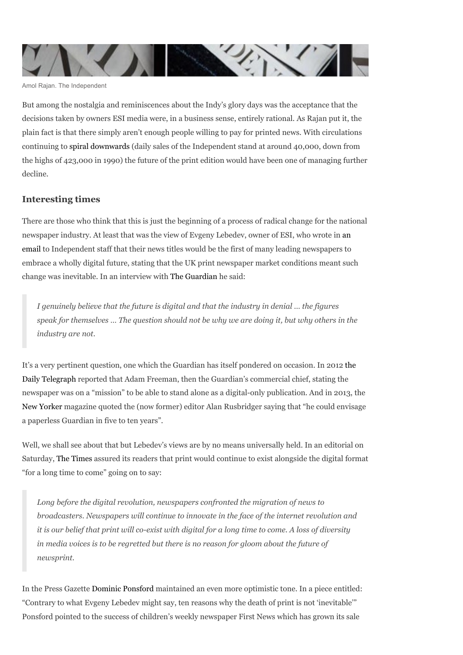

Amol Rajan. The Independent

But among the nostalgia and reminiscences about the Indy's glory days was the acceptance that the decisions taken by owners ESI media were, in a business sense, entirely rational. As Rajan put it, the plain fact is that there simply aren't enough people willing to pay for printed news. With circulations continuing to spiral downwards (daily sales of the Independent stand at around 40,000, down from the highs of 423,000 in 1990) the future of the print edition would have been one of managing further decline.

#### Interesting times

There are those who think that this is just the beginning of a process of radical change for the national newspaper industry. At least that was the view of Evgeny Lebedev, owner of ESI, who wrote in an email to Independent staff that their news titles would be the first of many leading newspapers to embrace a wholly digital future, stating that the UK print newspaper market conditions meant such change was inevitable. In an interview with The Guardian he said:

I genuinely believe that the future is digital and that the industry in denial … the figures speak for themselves … The question should not be why we are doing it, but why others in the industry are not.

It's a very pertinent question, one which the Guardian has itself pondered on occasion. In 2012 the Daily Telegraph reported that Adam Freeman, then the Guardian's commercial chief, stating the newspaper was on a "mission" to be able to stand alone as a digital-only publication. And in 2013, the New Yorker magazine quoted the (now former) editor Alan Rusbridger saying that "he could envisage a paperless Guardian in five to ten years".

Well, we shall see about that but Lebedev's views are by no means universally held. In an editorial on Saturday, The Times assured its readers that print would continue to exist alongside the digital format "for a long time to come" going on to say:

Long before the digital revolution, newspapers confronted the migration of news to broadcasters. Newspapers will continue to innovate in the face of the internet revolution and it is our belief that print will co-exist with digital for a long time to come. A loss of diversity in media voices is to be regretted but there is no reason for gloom about the future of newsprint.

In the Press Gazette Dominic Ponsford maintained an even more optimistic tone. In a piece entitled: "Contrary to what Evgeny Lebedev might say, ten reasons why the death of print is not 'inevitable'" Ponsford pointed to the success of children's weekly newspaper First News which has grown its sale